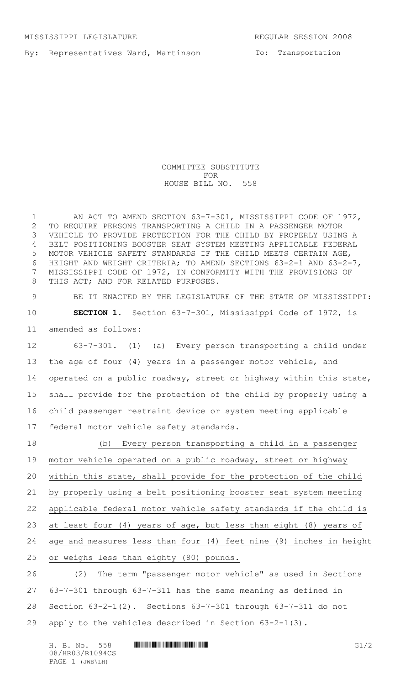By: Representatives Ward, Martinson

To: Transportation

COMMITTEE SUBSTITUTE FOR HOUSE BILL NO. 558

1 AN ACT TO AMEND SECTION 63-7-301, MISSISSIPPI CODE OF 1972, TO REQUIRE PERSONS TRANSPORTING A CHILD IN A PASSENGER MOTOR VEHICLE TO PROVIDE PROTECTION FOR THE CHILD BY PROPERLY USING A BELT POSITIONING BOOSTER SEAT SYSTEM MEETING APPLICABLE FEDERAL MOTOR VEHICLE SAFETY STANDARDS IF THE CHILD MEETS CERTAIN AGE, HEIGHT AND WEIGHT CRITERIA; TO AMEND SECTIONS 63-2-1 AND 63-2-7, MISSISSIPPI CODE OF 1972, IN CONFORMITY WITH THE PROVISIONS OF 8 THIS ACT; AND FOR RELATED PURPOSES.

 BE IT ENACTED BY THE LEGISLATURE OF THE STATE OF MISSISSIPPI: **SECTION 1.** Section 63-7-301, Mississippi Code of 1972, is amended as follows:

 63-7-301. (1) (a) Every person transporting a child under the age of four (4) years in a passenger motor vehicle, and operated on a public roadway, street or highway within this state, shall provide for the protection of the child by properly using a child passenger restraint device or system meeting applicable federal motor vehicle safety standards.

 (b) Every person transporting a child in a passenger motor vehicle operated on a public roadway, street or highway within this state, shall provide for the protection of the child by properly using a belt positioning booster seat system meeting applicable federal motor vehicle safety standards if the child is at least four (4) years of age, but less than eight (8) years of age and measures less than four (4) feet nine (9) inches in height or weighs less than eighty (80) pounds.

 (2) The term "passenger motor vehicle" as used in Sections 63-7-301 through 63-7-311 has the same meaning as defined in Section 63-2-1(2). Sections 63-7-301 through 63-7-311 do not apply to the vehicles described in Section 63-2-1(3).

H. B. No. 558 **HROBACH COMMUNISION COMMUNISION** 08/HR03/R1094CS PAGE 1 (JWB\LH)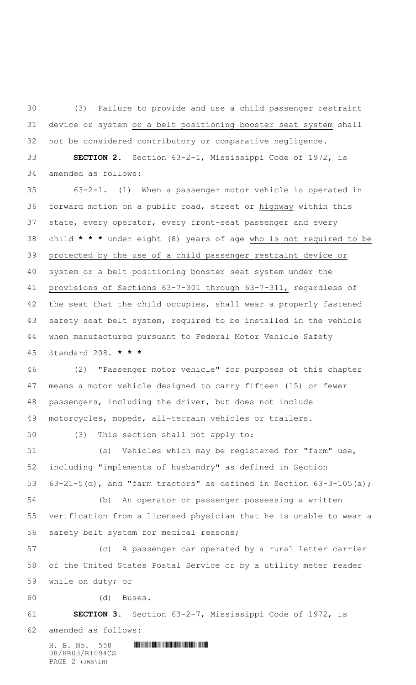(3) Failure to provide and use a child passenger restraint device or system or a belt positioning booster seat system shall not be considered contributory or comparative negligence. **SECTION 2.** Section 63-2-1, Mississippi Code of 1972, is

amended as follows:

 63-2-1. (1) When a passenger motor vehicle is operated in forward motion on a public road, street or highway within this state, every operator, every front-seat passenger and every child **\* \* \*** under eight (8) years of age who is not required to be protected by the use of a child passenger restraint device or system or a belt positioning booster seat system under the provisions of Sections 63-7-301 through 63-7-311, regardless of the seat that the child occupies, shall wear a properly fastened safety seat belt system, required to be installed in the vehicle when manufactured pursuant to Federal Motor Vehicle Safety Standard 208. **\* \* \***

 (2) "Passenger motor vehicle" for purposes of this chapter means a motor vehicle designed to carry fifteen (15) or fewer passengers, including the driver, but does not include motorcycles, mopeds, all-terrain vehicles or trailers.

(3) This section shall not apply to:

 (a) Vehicles which may be registered for "farm" use, including "implements of husbandry" as defined in Section 53  $63-21-5(d)$ , and "farm tractors" as defined in Section  $63-3-105(a)$ ;

 (b) An operator or passenger possessing a written verification from a licensed physician that he is unable to wear a safety belt system for medical reasons;

 (c) A passenger car operated by a rural letter carrier of the United States Postal Service or by a utility meter reader while on duty; or

(d) Buses.

## **SECTION 3.** Section 63-2-7, Mississippi Code of 1972, is

amended as follows:

 $H. B. No. 558$  . HINDIAN CONTINUES AND LODGED AT  $B. R$ 08/HR03/R1094CS PAGE 2 (JWB\LH)